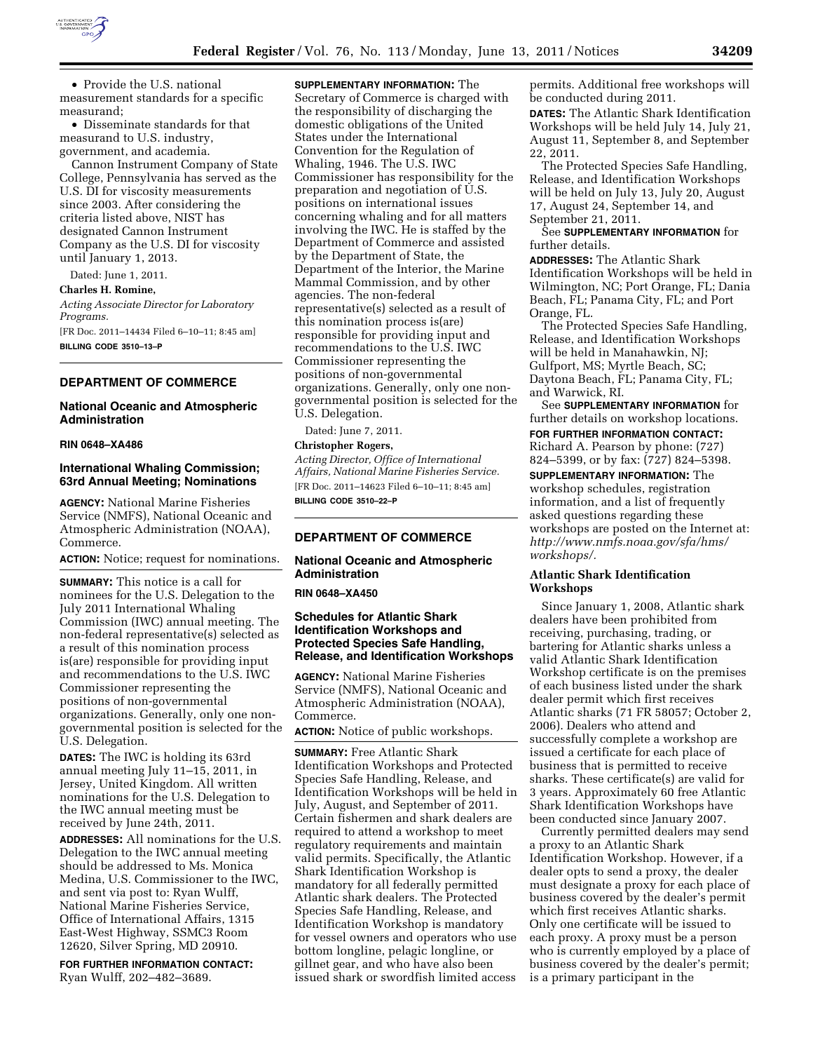

• Provide the U.S. national measurement standards for a specific measurand;

• Disseminate standards for that measurand to U.S. industry, government, and academia.

Cannon Instrument Company of State College, Pennsylvania has served as the U.S. DI for viscosity measurements since 2003. After considering the criteria listed above, NIST has designated Cannon Instrument Company as the U.S. DI for viscosity until January 1, 2013.

Dated: June 1, 2011.

**Charles H. Romine,** 

*Acting Associate Director for Laboratory Programs.* 

[FR Doc. 2011–14434 Filed 6–10–11; 8:45 am] **BILLING CODE 3510–13–P** 

### **DEPARTMENT OF COMMERCE**

## **National Oceanic and Atmospheric Administration**

#### **RIN 0648–XA486**

## **International Whaling Commission; 63rd Annual Meeting; Nominations**

**AGENCY:** National Marine Fisheries Service (NMFS), National Oceanic and Atmospheric Administration (NOAA), Commerce.

**ACTION:** Notice; request for nominations.

**SUMMARY:** This notice is a call for nominees for the U.S. Delegation to the July 2011 International Whaling Commission (IWC) annual meeting. The non-federal representative(s) selected as a result of this nomination process is(are) responsible for providing input and recommendations to the U.S. IWC Commissioner representing the positions of non-governmental organizations. Generally, only one nongovernmental position is selected for the U.S. Delegation.

**DATES:** The IWC is holding its 63rd annual meeting July 11–15, 2011, in Jersey, United Kingdom. All written nominations for the U.S. Delegation to the IWC annual meeting must be received by June 24th, 2011.

**ADDRESSES:** All nominations for the U.S. Delegation to the IWC annual meeting should be addressed to Ms. Monica Medina, U.S. Commissioner to the IWC, and sent via post to: Ryan Wulff, National Marine Fisheries Service, Office of International Affairs, 1315 East-West Highway, SSMC3 Room 12620, Silver Spring, MD 20910.

**FOR FURTHER INFORMATION CONTACT:**  Ryan Wulff, 202–482–3689.

**SUPPLEMENTARY INFORMATION:** The Secretary of Commerce is charged with the responsibility of discharging the domestic obligations of the United States under the International Convention for the Regulation of Whaling, 1946. The U.S. IWC Commissioner has responsibility for the preparation and negotiation of U.S. positions on international issues concerning whaling and for all matters involving the IWC. He is staffed by the Department of Commerce and assisted by the Department of State, the Department of the Interior, the Marine Mammal Commission, and by other agencies. The non-federal representative(s) selected as a result of this nomination process is(are) responsible for providing input and recommendations to the U.S. IWC Commissioner representing the positions of non-governmental organizations. Generally, only one nongovernmental position is selected for the U.S. Delegation.

Dated: June 7, 2011.

## **Christopher Rogers,**

*Acting Director, Office of International Affairs, National Marine Fisheries Service.*  [FR Doc. 2011–14623 Filed 6–10–11; 8:45 am] **BILLING CODE 3510–22–P** 

# **DEPARTMENT OF COMMERCE**

## **National Oceanic and Atmospheric Administration**

**RIN 0648–XA450** 

## **Schedules for Atlantic Shark Identification Workshops and Protected Species Safe Handling, Release, and Identification Workshops**

**AGENCY:** National Marine Fisheries Service (NMFS), National Oceanic and Atmospheric Administration (NOAA), Commerce.

**ACTION:** Notice of public workshops.

**SUMMARY:** Free Atlantic Shark Identification Workshops and Protected Species Safe Handling, Release, and Identification Workshops will be held in July, August, and September of 2011. Certain fishermen and shark dealers are required to attend a workshop to meet regulatory requirements and maintain valid permits. Specifically, the Atlantic Shark Identification Workshop is mandatory for all federally permitted Atlantic shark dealers. The Protected Species Safe Handling, Release, and Identification Workshop is mandatory for vessel owners and operators who use bottom longline, pelagic longline, or gillnet gear, and who have also been issued shark or swordfish limited access

permits. Additional free workshops will be conducted during 2011.

**DATES:** The Atlantic Shark Identification Workshops will be held July 14, July 21, August 11, September 8, and September 22, 2011.

The Protected Species Safe Handling, Release, and Identification Workshops will be held on July 13, July 20, August 17, August 24, September 14, and September 21, 2011.

See **SUPPLEMENTARY INFORMATION** for further details.

**ADDRESSES:** The Atlantic Shark Identification Workshops will be held in Wilmington, NC; Port Orange, FL; Dania Beach, FL; Panama City, FL; and Port Orange, FL.

The Protected Species Safe Handling, Release, and Identification Workshops will be held in Manahawkin, NJ; Gulfport, MS; Myrtle Beach, SC; Daytona Beach, FL; Panama City, FL; and Warwick, RI.

See **SUPPLEMENTARY INFORMATION** for further details on workshop locations. **FOR FURTHER INFORMATION CONTACT:**  Richard A. Pearson by phone: (727)

824–5399, or by fax: (727) 824–5398. **SUPPLEMENTARY INFORMATION:** The

workshop schedules, registration information, and a list of frequently asked questions regarding these workshops are posted on the Internet at: *[http://www.nmfs.noaa.gov/sfa/hms/](http://www.nmfs.noaa.gov/sfa/hms/workshops/)  [workshops/.](http://www.nmfs.noaa.gov/sfa/hms/workshops/)* 

## **Atlantic Shark Identification Workshops**

Since January 1, 2008, Atlantic shark dealers have been prohibited from receiving, purchasing, trading, or bartering for Atlantic sharks unless a valid Atlantic Shark Identification Workshop certificate is on the premises of each business listed under the shark dealer permit which first receives Atlantic sharks (71 FR 58057; October 2, 2006). Dealers who attend and successfully complete a workshop are issued a certificate for each place of business that is permitted to receive sharks. These certificate(s) are valid for 3 years. Approximately 60 free Atlantic Shark Identification Workshops have been conducted since January 2007.

Currently permitted dealers may send a proxy to an Atlantic Shark Identification Workshop. However, if a dealer opts to send a proxy, the dealer must designate a proxy for each place of business covered by the dealer's permit which first receives Atlantic sharks. Only one certificate will be issued to each proxy. A proxy must be a person who is currently employed by a place of business covered by the dealer's permit; is a primary participant in the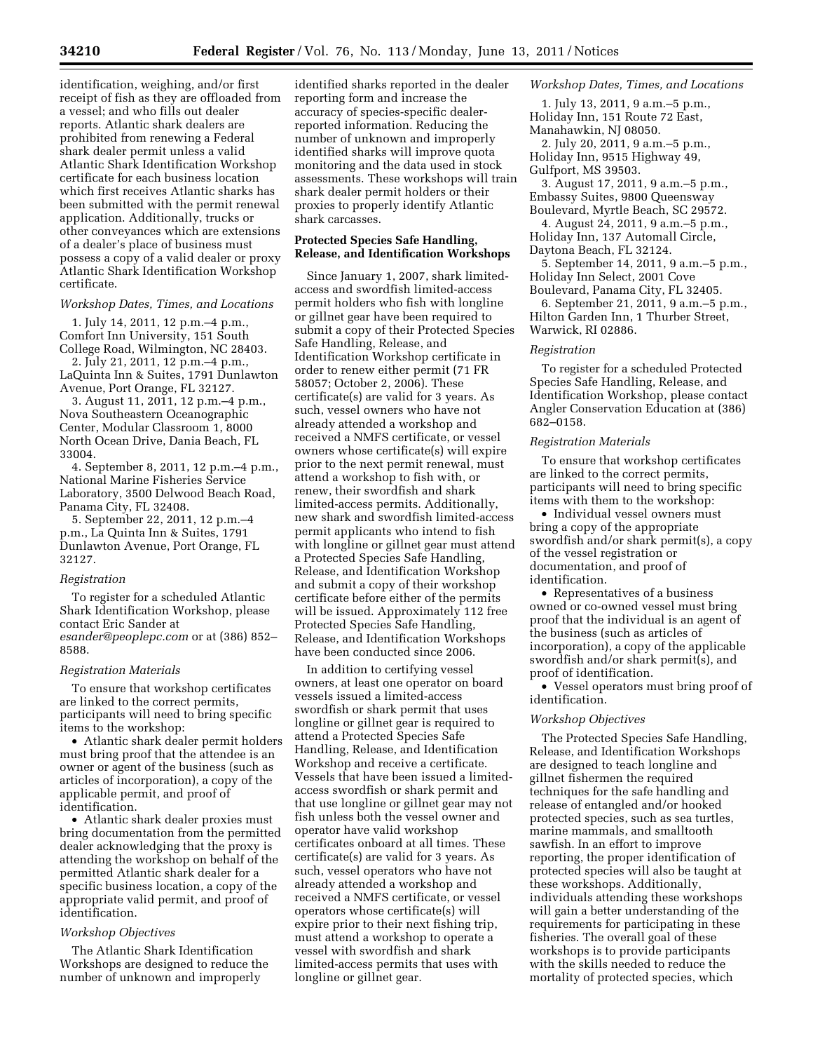identification, weighing, and/or first receipt of fish as they are offloaded from a vessel; and who fills out dealer reports. Atlantic shark dealers are prohibited from renewing a Federal shark dealer permit unless a valid Atlantic Shark Identification Workshop certificate for each business location which first receives Atlantic sharks has been submitted with the permit renewal application. Additionally, trucks or other conveyances which are extensions of a dealer's place of business must possess a copy of a valid dealer or proxy Atlantic Shark Identification Workshop certificate.

#### *Workshop Dates, Times, and Locations*

1. July 14, 2011, 12 p.m.–4 p.m., Comfort Inn University, 151 South College Road, Wilmington, NC 28403.

2. July 21, 2011, 12 p.m.–4 p.m., LaQuinta Inn & Suites, 1791 Dunlawton Avenue, Port Orange, FL 32127.

3. August 11, 2011, 12 p.m.–4 p.m., Nova Southeastern Oceanographic Center, Modular Classroom 1, 8000 North Ocean Drive, Dania Beach, FL 33004.

4. September 8, 2011, 12 p.m.–4 p.m., National Marine Fisheries Service Laboratory, 3500 Delwood Beach Road, Panama City, FL 32408.

5. September 22, 2011, 12 p.m.–4 p.m., La Quinta Inn & Suites, 1791 Dunlawton Avenue, Port Orange, FL 32127.

#### *Registration*

To register for a scheduled Atlantic Shark Identification Workshop, please contact Eric Sander at *[esander@peoplepc.com](mailto:esander@peoplepc.com)* or at (386) 852– 8588.

#### *Registration Materials*

To ensure that workshop certificates are linked to the correct permits, participants will need to bring specific items to the workshop:

• Atlantic shark dealer permit holders must bring proof that the attendee is an owner or agent of the business (such as articles of incorporation), a copy of the applicable permit, and proof of identification.

• Atlantic shark dealer proxies must bring documentation from the permitted dealer acknowledging that the proxy is attending the workshop on behalf of the permitted Atlantic shark dealer for a specific business location, a copy of the appropriate valid permit, and proof of identification.

#### *Workshop Objectives*

The Atlantic Shark Identification Workshops are designed to reduce the number of unknown and improperly

identified sharks reported in the dealer reporting form and increase the accuracy of species-specific dealerreported information. Reducing the number of unknown and improperly identified sharks will improve quota monitoring and the data used in stock assessments. These workshops will train shark dealer permit holders or their proxies to properly identify Atlantic shark carcasses.

## **Protected Species Safe Handling, Release, and Identification Workshops**

Since January 1, 2007, shark limitedaccess and swordfish limited-access permit holders who fish with longline or gillnet gear have been required to submit a copy of their Protected Species Safe Handling, Release, and Identification Workshop certificate in order to renew either permit (71 FR 58057; October 2, 2006). These certificate(s) are valid for 3 years. As such, vessel owners who have not already attended a workshop and received a NMFS certificate, or vessel owners whose certificate(s) will expire prior to the next permit renewal, must attend a workshop to fish with, or renew, their swordfish and shark limited-access permits. Additionally, new shark and swordfish limited-access permit applicants who intend to fish with longline or gillnet gear must attend a Protected Species Safe Handling, Release, and Identification Workshop and submit a copy of their workshop certificate before either of the permits will be issued. Approximately 112 free Protected Species Safe Handling, Release, and Identification Workshops have been conducted since 2006.

In addition to certifying vessel owners, at least one operator on board vessels issued a limited-access swordfish or shark permit that uses longline or gillnet gear is required to attend a Protected Species Safe Handling, Release, and Identification Workshop and receive a certificate. Vessels that have been issued a limitedaccess swordfish or shark permit and that use longline or gillnet gear may not fish unless both the vessel owner and operator have valid workshop certificates onboard at all times. These certificate(s) are valid for 3 years. As such, vessel operators who have not already attended a workshop and received a NMFS certificate, or vessel operators whose certificate(s) will expire prior to their next fishing trip, must attend a workshop to operate a vessel with swordfish and shark limited-access permits that uses with longline or gillnet gear.

### *Workshop Dates, Times, and Locations*

1. July 13, 2011, 9 a.m.–5 p.m., Holiday Inn, 151 Route 72 East, Manahawkin, NJ 08050.

2. July 20, 2011, 9 a.m.–5 p.m., Holiday Inn, 9515 Highway 49,

Gulfport, MS 39503.

3. August 17, 2011, 9 a.m.–5 p.m., Embassy Suites, 9800 Queensway Boulevard, Myrtle Beach, SC 29572.

4. August 24, 2011, 9 a.m.–5 p.m., Holiday Inn, 137 Automall Circle, Daytona Beach, FL 32124.

5. September 14, 2011, 9 a.m.–5 p.m., Holiday Inn Select, 2001 Cove

Boulevard, Panama City, FL 32405. 6. September 21, 2011, 9 a.m.–5 p.m., Hilton Garden Inn, 1 Thurber Street, Warwick, RI 02886.

### *Registration*

To register for a scheduled Protected Species Safe Handling, Release, and Identification Workshop, please contact Angler Conservation Education at (386) 682–0158.

#### *Registration Materials*

To ensure that workshop certificates are linked to the correct permits, participants will need to bring specific items with them to the workshop:

• Individual vessel owners must bring a copy of the appropriate swordfish and/or shark permit(s), a copy of the vessel registration or documentation, and proof of identification.

• Representatives of a business owned or co-owned vessel must bring proof that the individual is an agent of the business (such as articles of incorporation), a copy of the applicable swordfish and/or shark permit(s), and proof of identification.

• Vessel operators must bring proof of identification.

# *Workshop Objectives*

The Protected Species Safe Handling, Release, and Identification Workshops are designed to teach longline and gillnet fishermen the required techniques for the safe handling and release of entangled and/or hooked protected species, such as sea turtles, marine mammals, and smalltooth sawfish. In an effort to improve reporting, the proper identification of protected species will also be taught at these workshops. Additionally, individuals attending these workshops will gain a better understanding of the requirements for participating in these fisheries. The overall goal of these workshops is to provide participants with the skills needed to reduce the mortality of protected species, which